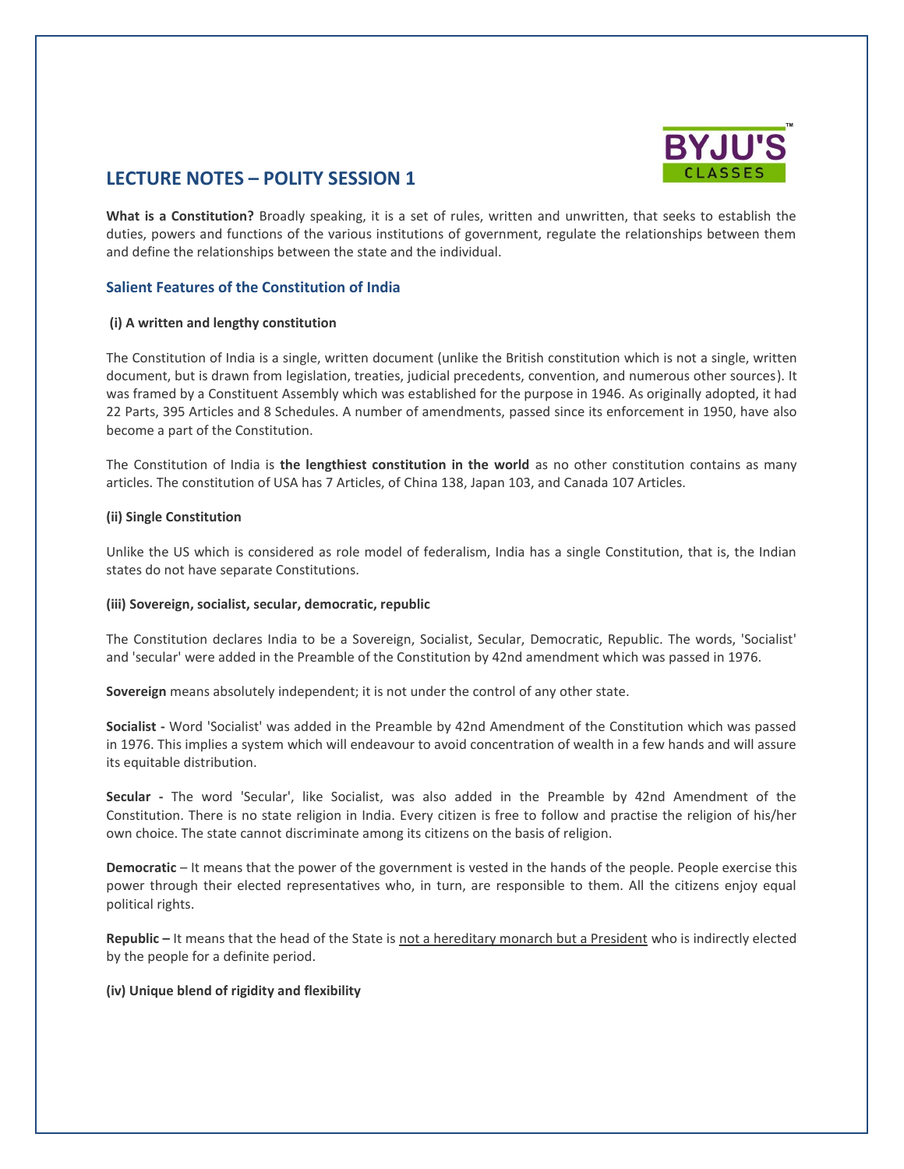

# **LECTURE NOTES – POLITY SESSION 1**

**What is a Constitution?** Broadly speaking, it is a set of rules, written and unwritten, that seeks to establish the duties, powers and functions of the various institutions of government, regulate the relationships between them and define the relationships between the state and the individual.

# **Salient Features of the Constitution of India**

## **(i) A written and lengthy constitution**

The Constitution of India is a single, written document (unlike the British constitution which is not a single, written document, but is drawn from legislation, treaties, judicial precedents, convention, and numerous other sources). It was framed by a Constituent Assembly which was established for the purpose in 1946. As originally adopted, it had 22 Parts, 395 Articles and 8 Schedules. A number of amendments, passed since its enforcement in 1950, have also become a part of the Constitution.

The Constitution of India is **the lengthiest constitution in the world** as no other constitution contains as many articles. The constitution of USA has 7 Articles, of China 138, Japan 103, and Canada 107 Articles.

## **(ii) Single Constitution**

Unlike the US which is considered as role model of federalism, India has a single Constitution, that is, the Indian states do not have separate Constitutions.

## **(iii) Sovereign, socialist, secular, democratic, republic**

The Constitution declares India to be a Sovereign, Socialist, Secular, Democratic, Republic. The words, 'Socialist' and 'secular' were added in the Preamble of the Constitution by 42nd amendment which was passed in 1976.

**Sovereign** means absolutely independent; it is not under the control of any other state.

**Socialist -** Word 'Socialist' was added in the Preamble by 42nd Amendment of the Constitution which was passed in 1976. This implies a system which will endeavour to avoid concentration of wealth in a few hands and will assure its equitable distribution.

**Secular -** The word 'Secular', like Socialist, was also added in the Preamble by 42nd Amendment of the Constitution. There is no state religion in India. Every citizen is free to follow and practise the religion of his/her own choice. The state cannot discriminate among its citizens on the basis of religion.

**Democratic** – It means that the power of the government is vested in the hands of the people. People exercise this power through their elected representatives who, in turn, are responsible to them. All the citizens enjoy equal political rights.

**Republic –** It means that the head of the State is not a hereditary monarch but a President who is indirectly elected by the people for a definite period.

# **(iv) Unique blend of rigidity and flexibility**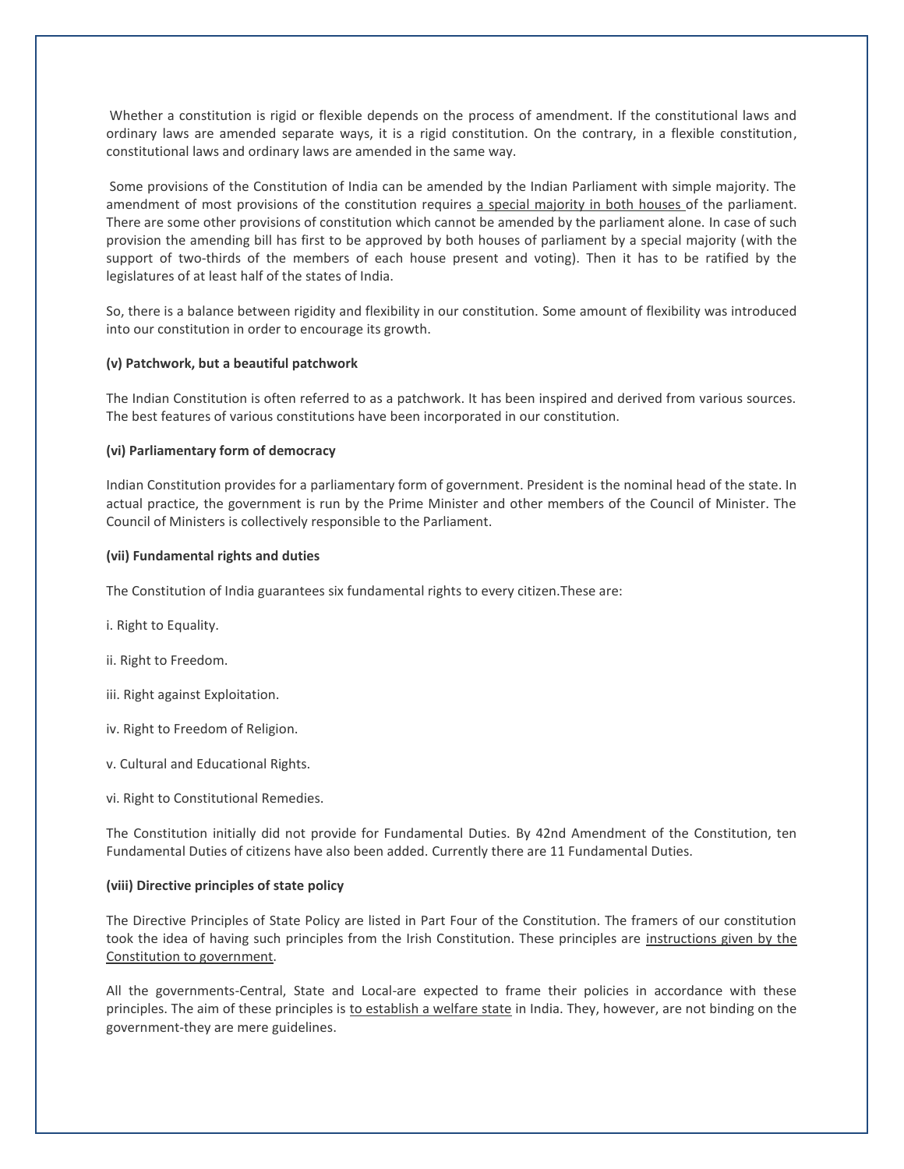Whether a constitution is rigid or flexible depends on the process of amendment. If the constitutional laws and ordinary laws are amended separate ways, it is a rigid constitution. On the contrary, in a flexible constitution, constitutional laws and ordinary laws are amended in the same way.

Some provisions of the Constitution of India can be amended by the Indian Parliament with simple majority. The amendment of most provisions of the constitution requires a special majority in both houses of the parliament. There are some other provisions of constitution which cannot be amended by the parliament alone. In case of such provision the amending bill has first to be approved by both houses of parliament by a special majority (with the support of two-thirds of the members of each house present and voting). Then it has to be ratified by the legislatures of at least half of the states of India.

So, there is a balance between rigidity and flexibility in our constitution. Some amount of flexibility was introduced into our constitution in order to encourage its growth.

## **(v) Patchwork, but a beautiful patchwork**

The Indian Constitution is often referred to as a patchwork. It has been inspired and derived from various sources. The best features of various constitutions have been incorporated in our constitution.

#### **(vi) Parliamentary form of democracy**

Indian Constitution provides for a parliamentary form of government. President is the nominal head of the state. In actual practice, the government is run by the Prime Minister and other members of the Council of Minister. The Council of Ministers is collectively responsible to the Parliament.

#### **(vii) Fundamental rights and duties**

The Constitution of India guarantees six fundamental rights to every citizen.These are:

i. Right to Equality.

ii. Right to Freedom.

- iii. Right against Exploitation.
- iv. Right to Freedom of Religion.
- v. Cultural and Educational Rights.
- vi. Right to Constitutional Remedies.

The Constitution initially did not provide for Fundamental Duties. By 42nd Amendment of the Constitution, ten Fundamental Duties of citizens have also been added. Currently there are 11 Fundamental Duties.

#### **(viii) Directive principles of state policy**

The Directive Principles of State Policy are listed in Part Four of the Constitution. The framers of our constitution took the idea of having such principles from the Irish Constitution. These principles are instructions given by the Constitution to government.

All the governments-Central, State and Local-are expected to frame their policies in accordance with these principles. The aim of these principles is to establish a welfare state in India. They, however, are not binding on the government-they are mere guidelines.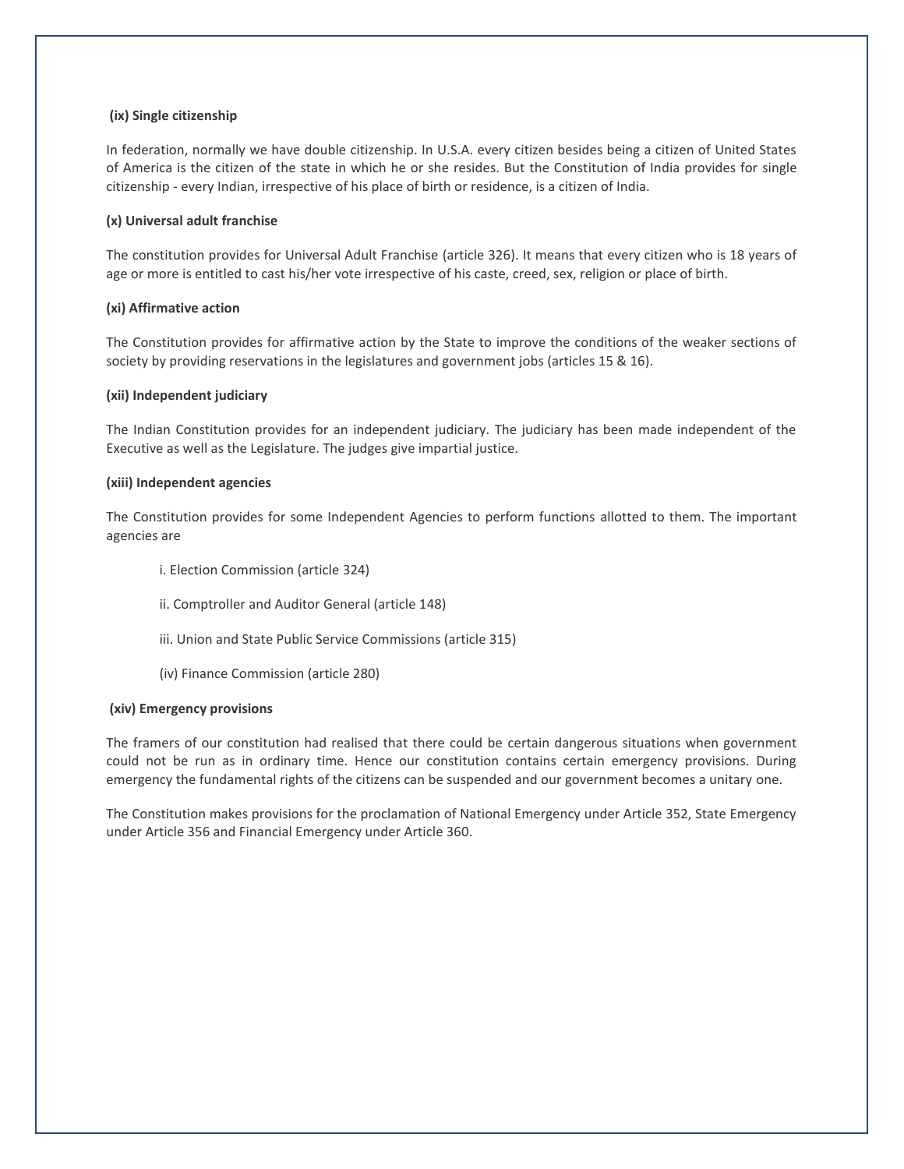## **(ix) Single citizenship**

In federation, normally we have double citizenship. In U.S.A. every citizen besides being a citizen of United States of America is the citizen of the state in which he or she resides. But the Constitution of India provides for single citizenship - every Indian, irrespective of his place of birth or residence, is a citizen of India.

### **(x) Universal adult franchise**

The constitution provides for Universal Adult Franchise (article 326). It means that every citizen who is 18 years of age or more is entitled to cast his/her vote irrespective of his caste, creed, sex, religion or place of birth.

#### **(xi) Affirmative action**

The Constitution provides for affirmative action by the State to improve the conditions of the weaker sections of society by providing reservations in the legislatures and government jobs (articles 15 & 16).

#### **(xii) Independent judiciary**

The Indian Constitution provides for an independent judiciary. The judiciary has been made independent of the Executive as well as the Legislature. The judges give impartial justice.

#### **(xiii) Independent agencies**

The Constitution provides for some Independent Agencies to perform functions allotted to them. The important agencies are

- i. Election Commission (article 324)
- ii. Comptroller and Auditor General (article 148)
- iii. Union and State Public Service Commissions (article 315)
- (iv) Finance Commission (article 280)

#### **(xiv) Emergency provisions**

The framers of our constitution had realised that there could be certain dangerous situations when government could not be run as in ordinary time. Hence our constitution contains certain emergency provisions. During emergency the fundamental rights of the citizens can be suspended and our government becomes a unitary one.

The Constitution makes provisions for the proclamation of National Emergency under Article 352, State Emergency under Article 356 and Financial Emergency under Article 360.